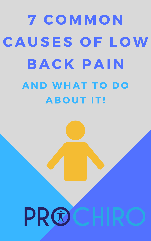## 7 COMMON CAUSES OF LOW BACK PAIN AND WHAT TO DO ABOUT IT!

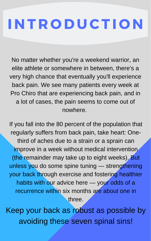## I N T R O D U CT I O N

No matter whether you're a weekend warrior, an elite athlete or somewhere in between, there's a very high chance that eventually you'll experience back pain. We see many patients every week at Pro Chiro that are experiencing back pain, and in a lot of cases, the pain seems to come out of nowhere.

If you fall into the 80 percent of the population that

regularly suffers from back pain, take heart: Onethird of aches due to a strain or a sprain can improve in a week without medical intervention (the remainder may take up to eight weeks). But unless you do some spine tuning — strengthening your back through exercise and fostering healthier habits with our advice here — your odds of a recurrence within six months are about one in three.

Keep your back as robust as possible by avoiding these seven spinal sins!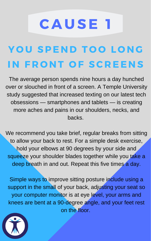### C A U SE 1 YOU SPEND TOO LONG IN FRONT OF SCREENS

The average person spends nine hours a day hunched over or slouched in front of a screen. A Temple University study suggested that increased texting on our latest tech obsessions — smartphones and tablets — is creating more aches and pains in our shoulders, necks, and backs.

We recommend you take brief, regular breaks from sitting to allow your back to rest. For a simple desk exercise, hold your elbows at 90 degrees by your side and squeeze your shoulder blades together while you take a deep breath in and out. Repeat this five times a day.

Simple ways to improve sitting posture include using a support in the small of your back, adjusting your seat so your computer monitor is at eye level, your arms and knees are bent at a 90-degree angle, and your feet rest on the floor.

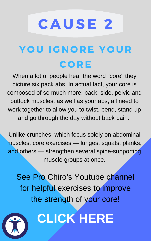### C A U SE 2 YOU IGNORE YOUR C O R E

When a lot of people hear the word "core" they picture six pack abs. In actual fact, your core is composed of so much more: back, side, pelvic and buttock muscles, as well as your abs, all need to work together to allow you to twist, bend, stand up and go through the day without back pain.

Unlike crunches, which focus solely on abdominal muscles, core exercises — lunges, squats, planks, and others — strengthen several spine-supporting muscle groups at once.

See Pro Chiro's Youtube channel for helpful exercises to improve the strength of your core!



### **[CLICK](https://www.youtube.com/watch?v=-NhQTGXJPkQ&) HERE**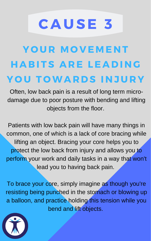### YOUR MOVEMENT HABITS ARE LEADING YOU TOWARDS INJURY

C A U SE 3

Often, low back pain is a result of long term microdamage due to poor posture with bending and lifting objects from the floor.

Patients with low back pain will have many things in

common, one of which is a lack of core bracing while lifting an object. Bracing your core helps you to protect the low back from injury and allows you to perform your work and daily tasks in a way that won't lead you to having back pain.

To brace your core, simply imagine as though you're resisting being punched in the stomach or blowing up a balloon, and practice holding this tension while you bend and lift objects.

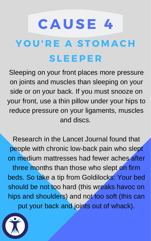### C A U SE 4 YOU'RE A STOMACH SLEEPE R

Sleeping on your front places more pressure on joints and muscles than sleeping on your side or on your back. If you must snooze on your front, use a thin pillow under your hips to reduce pressure on your ligaments, muscles and discs.

Research in the Lancet Journal found that people with chronic low-back pain who slept on medium mattresses had fewer aches after three months than those who slept on firm beds. So take a tip from Goldilocks: Your bed should be not too hard (this wreaks havoc on hips and shoulders) and not too soft (this can put your back and joints out of whack).

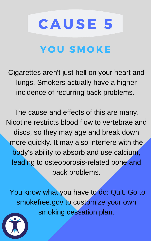# C A U SE 5 YOU SMOKE

Cigarettes aren't just hell on your heart and lungs. Smokers actually have a higher incidence of recurring back problems.

The cause and effects of this are many. Nicotine restricts blood flow to vertebrae and

discs, so they may age and break down more quickly. It may also interfere with the body's ability to absorb and use calcium, leading to osteoporosis-related bone and back problems.

You know what you have to do: Quit. Go to smokefree.gov to customize your own smoking cessation plan.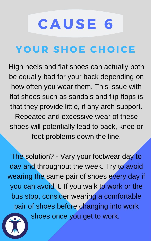## C A U SE 6 YOUR SHOE CHOICE

High heels and flat shoes can actually both be equally bad for your back depending on how often you wear them. This issue with flat shoes such as sandals and flip-flops is that they provide little, if any arch support. Repeated and excessive wear of these shoes will potentially lead to back, knee or foot problems down the line.

The solution? - Vary your footwear day to day and throughout the week. Try to avoid wearing the same pair of shoes every day if you can avoid it. If you walk to work or the bus stop, consider wearing a comfortable pair of shoes before changing into work shoes once you get to work.

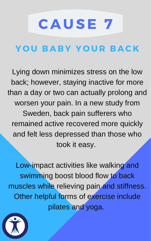## C A U SE 7 YOU BABY YOUR BACK

Lying down minimizes stress on the low back; however, staying inactive for more than a day or two can actually prolong and worsen your pain. In a new study from Sweden, back pain sufferers who remained active recovered more quickly

### and felt less depressed than those who took it easy.

Low-impact activities like walking and swimming boost blood flow to back muscles while relieving pain and stiffness. Other helpful forms of exercise include pilates and yoga.

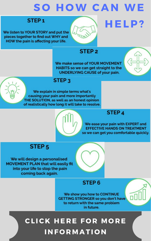### SO HOW CAN WE

### STEP<sub>1</sub>

We listen to YOUR STORY and put the pieces together to find out WHY and HOW the pain is affecting your life.

#### **STEP<sub>2</sub>**

We make sense of YOUR MOVEMENT HABITS so we can get straight to the **UNDERLYING CAUSE of your pain.** 



HELP?

### STEP<sub>3</sub>

We explain in simple terms what's causing your pain and more importantly THE SOLUTION, as well as an honest opinion of realistically how long it will take to resolve.

### **STEP4**

We ease your pain with EXPERT and **EFFECTIVE HANDS ON TREATMENT** so we can get you comfortable quickly.



### STEP<sub>5</sub>

We will design a personalised **MOVEMENT PLAN that will easily fit** into your life to stop the pain coming back again.



#### STEP<sub>6</sub>

We show you how to CONTINUE **GETTING STRONGER so you don't have** to return with the same problem in future.

CLICK HERE FOR MORE INFORMATION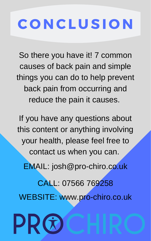## C O N CL U SI O N

So there you have it! 7 common causes of back pain and simple things you can do to help prevent back pain from occurring and reduce the pain it causes.

If you have any questions about this content or anything involving your health, please feel free to contact us when you can. EMAIL: josh@pro-chiro.co.uk CALL: 07566 769258 WEBSITE: [www.pro-chiro.co.uk](http://www.pro-chiro.co.uk/)

PRG